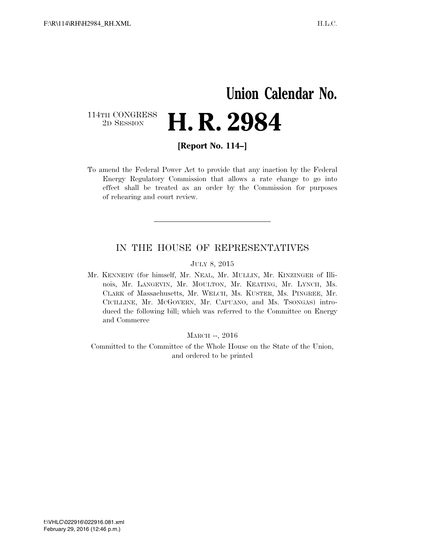## **Union Calendar No.**  114TH CONGRESS<br>2D SESSION **H. R. 2984**

**[Report No. 114–]** 

To amend the Federal Power Act to provide that any inaction by the Federal Energy Regulatory Commission that allows a rate change to go into effect shall be treated as an order by the Commission for purposes of rehearing and court review.

### IN THE HOUSE OF REPRESENTATIVES

#### JULY 8, 2015

Mr. KENNEDY (for himself, Mr. NEAL, Mr. MULLIN, Mr. KINZINGER of Illinois, Mr. LANGEVIN, Mr. MOULTON, Mr. KEATING, Mr. LYNCH, Ms. CLARK of Massachusetts, Mr. WELCH, Ms. KUSTER, Ms. PINGREE, Mr. CICILLINE, Mr. MCGOVERN, Mr. CAPUANO, and Ms. TSONGAS) introduced the following bill; which was referred to the Committee on Energy and Commerce

MARCH --, 2016

Committed to the Committee of the Whole House on the State of the Union, and ordered to be printed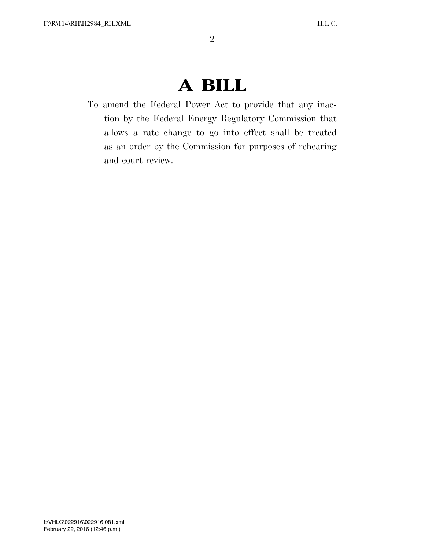# **A BILL**

To amend the Federal Power Act to provide that any inaction by the Federal Energy Regulatory Commission that allows a rate change to go into effect shall be treated as an order by the Commission for purposes of rehearing and court review.